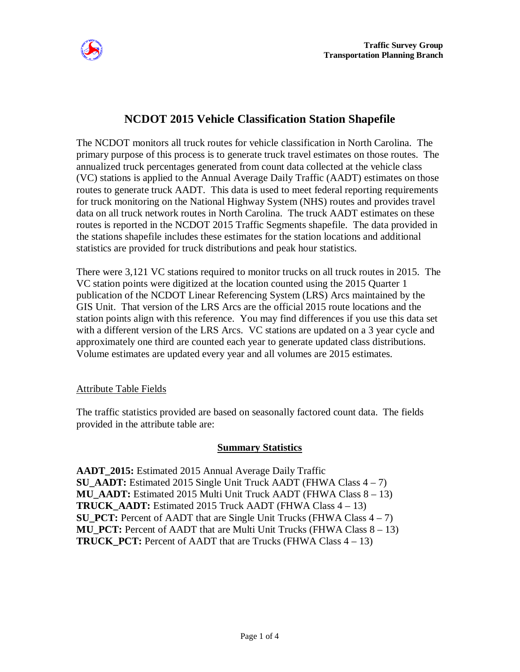

# **NCDOT 2015 Vehicle Classification Station Shapefile**

The NCDOT monitors all truck routes for vehicle classification in North Carolina. The primary purpose of this process is to generate truck travel estimates on those routes. The annualized truck percentages generated from count data collected at the vehicle class (VC) stations is applied to the Annual Average Daily Traffic (AADT) estimates on those routes to generate truck AADT. This data is used to meet federal reporting requirements for truck monitoring on the National Highway System (NHS) routes and provides travel data on all truck network routes in North Carolina. The truck AADT estimates on these routes is reported in the NCDOT 2015 Traffic Segments shapefile. The data provided in the stations shapefile includes these estimates for the station locations and additional statistics are provided for truck distributions and peak hour statistics.

There were 3,121 VC stations required to monitor trucks on all truck routes in 2015. The VC station points were digitized at the location counted using the 2015 Quarter 1 publication of the NCDOT Linear Referencing System (LRS) Arcs maintained by the GIS Unit. That version of the LRS Arcs are the official 2015 route locations and the station points align with this reference. You may find differences if you use this data set with a different version of the LRS Arcs. VC stations are updated on a 3 year cycle and approximately one third are counted each year to generate updated class distributions. Volume estimates are updated every year and all volumes are 2015 estimates.

#### Attribute Table Fields

The traffic statistics provided are based on seasonally factored count data. The fields provided in the attribute table are:

#### **Summary Statistics**

**AADT\_2015:** Estimated 2015 Annual Average Daily Traffic **SU\_AADT:** Estimated 2015 Single Unit Truck AADT (FHWA Class 4 – 7) **MU\_AADT:** Estimated 2015 Multi Unit Truck AADT (FHWA Class 8 – 13) **TRUCK AADT:** Estimated 2015 Truck AADT (FHWA Class  $4 - 13$ ) **SU\_PCT:** Percent of AADT that are Single Unit Trucks (FHWA Class 4 – 7) **MU\_PCT:** Percent of AADT that are Multi Unit Trucks (FHWA Class 8 – 13) **TRUCK\_PCT:** Percent of AADT that are Trucks (FHWA Class 4 – 13)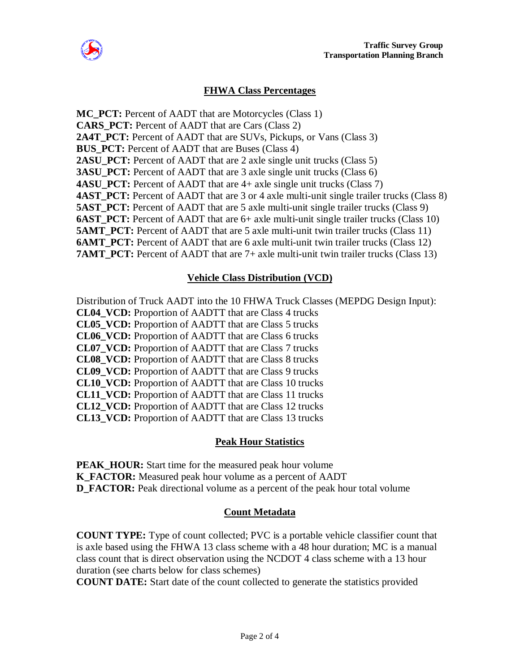

## **FHWA Class Percentages**

**MC\_PCT:** Percent of AADT that are Motorcycles (Class 1) **CARS\_PCT:** Percent of AADT that are Cars (Class 2) **2A4T\_PCT:** Percent of AADT that are SUVs, Pickups, or Vans (Class 3) **BUS\_PCT:** Percent of AADT that are Buses (Class 4) **2ASU\_PCT:** Percent of AADT that are 2 axle single unit trucks (Class 5) **3ASU\_PCT:** Percent of AADT that are 3 axle single unit trucks (Class 6) **4ASU\_PCT:** Percent of AADT that are 4+ axle single unit trucks (Class 7) **4AST\_PCT:** Percent of AADT that are 3 or 4 axle multi-unit single trailer trucks (Class 8) **5AST\_PCT:** Percent of AADT that are 5 axle multi-unit single trailer trucks (Class 9) **6AST\_PCT:** Percent of AADT that are 6+ axle multi-unit single trailer trucks (Class 10) **5AMT PCT:** Percent of AADT that are 5 axle multi-unit twin trailer trucks (Class 11) **6AMT\_PCT:** Percent of AADT that are 6 axle multi-unit twin trailer trucks (Class 12) **7AMT PCT:** Percent of AADT that are 7+ axle multi-unit twin trailer trucks (Class 13)

#### **Vehicle Class Distribution (VCD)**

Distribution of Truck AADT into the 10 FHWA Truck Classes (MEPDG Design Input): **CL04\_VCD:** Proportion of AADTT that are Class 4 trucks **CL05\_VCD:** Proportion of AADTT that are Class 5 trucks **CL06\_VCD:** Proportion of AADTT that are Class 6 trucks **CL07\_VCD:** Proportion of AADTT that are Class 7 trucks **CL08\_VCD:** Proportion of AADTT that are Class 8 trucks **CL09\_VCD:** Proportion of AADTT that are Class 9 trucks **CL10\_VCD:** Proportion of AADTT that are Class 10 trucks **CL11\_VCD:** Proportion of AADTT that are Class 11 trucks **CL12\_VCD:** Proportion of AADTT that are Class 12 trucks **CL13\_VCD:** Proportion of AADTT that are Class 13 trucks

#### **Peak Hour Statistics**

**PEAK HOUR:** Start time for the measured peak hour volume **K\_FACTOR:** Measured peak hour volume as a percent of AADT **D\_FACTOR:** Peak directional volume as a percent of the peak hour total volume

#### **Count Metadata**

**COUNT TYPE:** Type of count collected; PVC is a portable vehicle classifier count that is axle based using the FHWA 13 class scheme with a 48 hour duration; MC is a manual class count that is direct observation using the NCDOT 4 class scheme with a 13 hour duration (see charts below for class schemes)

**COUNT DATE:** Start date of the count collected to generate the statistics provided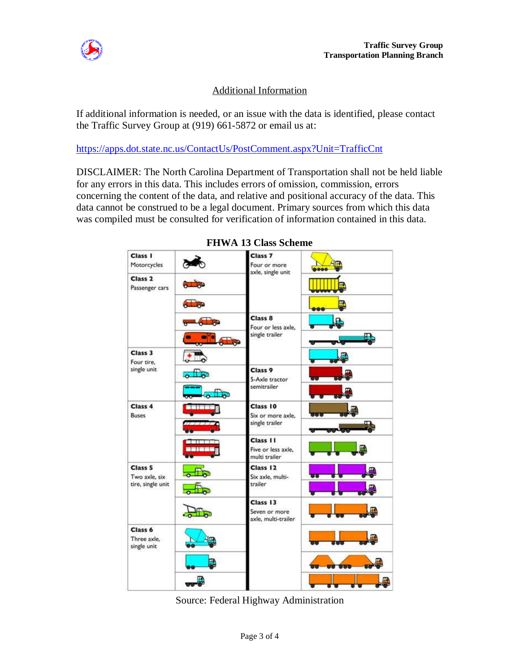

# Additional Information

If additional information is needed, or an issue with the data is identified, please contact the Traffic Survey Group at (919) 661-5872 or email us at:

https://apps.dot.state.nc.us/ContactUs/PostComment.aspx?Unit=TrafficCnt

DISCLAIMER: The North Carolina Department of Transportation shall not be held liable for any errors in this data. This includes errors of omission, commission, errors concerning the content of the data, and relative and positional accuracy of the data. This data cannot be construed to be a legal document. Primary sources from which this data was compiled must be consulted for verification of information contained in this data.

| Class I<br>Motorcycles                        |                        | Class <sub>7</sub><br>Four or more<br>axle, single unit | 8888         |
|-----------------------------------------------|------------------------|---------------------------------------------------------|--------------|
| Class <sub>2</sub><br>Passenger cars          |                        |                                                         |              |
|                                               | $\sqrt{2}$             |                                                         | Ę<br>888     |
|                                               | $\sqrt{8}$             | Class <sub>8</sub><br>Four or less axle.                |              |
|                                               |                        | single trailer                                          | Е            |
| Class 3<br>Four tire.<br>single unit          |                        |                                                         | aa)          |
|                                               | $\overline{\circ}$     | Class 9<br>5-Axle tractor<br>semitrailer                | <b>PERCE</b> |
|                                               | متا<br>۰ō              |                                                         |              |
| Class 4<br><b>Buses</b>                       |                        | Class 10<br>Six or more axle.                           |              |
|                                               |                        | single trailer                                          | i.           |
|                                               | i i meri               | Class 11<br>Five or less axle.<br>multi trailer         |              |
| Class 5<br>Two axle, six<br>tire, single unit | $\frac{1}{2}$          | Class 12<br>Six axle, multi-                            | <b>us</b>    |
|                                               | $\overline{\text{ch}}$ | trailer                                                 |              |
|                                               |                        | Class 13<br>Seven or more<br>axle, multi-trailer        |              |
| Class 6<br>Three axle.<br>single unit         |                        |                                                         |              |
|                                               | В                      |                                                         | 80 000       |
|                                               |                        |                                                         |              |

**FHWA 13 Class Scheme** 

Source: Federal Highway Administration